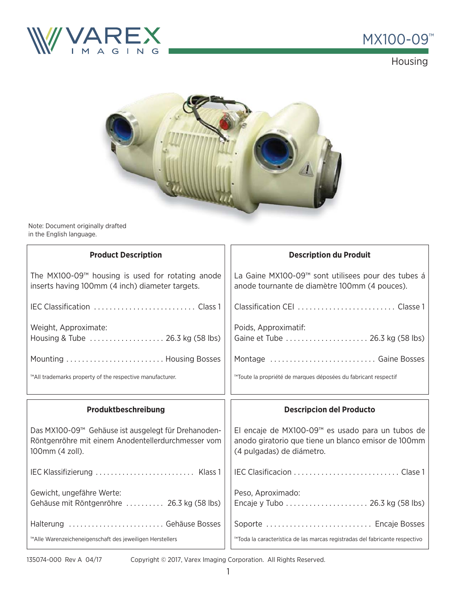



Housing



Note: Document originally drafted in the English language.

| <b>Product Description</b>                                                                                                   | <b>Description du Produit</b>                                                                                                        |
|------------------------------------------------------------------------------------------------------------------------------|--------------------------------------------------------------------------------------------------------------------------------------|
| The MX100-09 $^{m}$ housing is used for rotating anode<br>inserts having 100mm (4 inch) diameter targets.                    | La Gaine MX100-09™ sont utilisees pour des tubes á<br>anode tournante de diamètre 100mm (4 pouces).                                  |
|                                                                                                                              |                                                                                                                                      |
| Weight, Approximate:<br>Housing & Tube  26.3 kg (58 lbs)                                                                     | Poids, Approximatif:<br>Gaine et Tube  26.3 kg (58 lbs)                                                                              |
| Mounting  Housing Bosses                                                                                                     | Montage  Gaine Bosses                                                                                                                |
| ™All trademarks property of the respective manufacturer.                                                                     | ™Toute la propriété de marques déposées du fabricant respectif                                                                       |
|                                                                                                                              |                                                                                                                                      |
| Produktbeschreibung                                                                                                          | <b>Descripcion del Producto</b>                                                                                                      |
| Das MX100-09™ Gehäuse ist ausgelegt für Drehanoden-<br>Röntgenröhre mit einem Anodentellerdurchmesser vom<br>100mm (4 zoll). | El encaje de MX100-09™ es usado para un tubos de<br>anodo giratorio que tiene un blanco emisor de 100mm<br>(4 pulgadas) de diámetro. |
| IEC Klassifizierung  Klass 1                                                                                                 |                                                                                                                                      |
| Gewicht, ungefähre Werte:<br>Gehäuse mit Röntgenröhre  26.3 kg (58 lbs)                                                      | Peso, Aproximado:                                                                                                                    |
| Halterung  Gehäuse Bosses                                                                                                    | Soporte  Encaje Bosses                                                                                                               |

Copyright © 2017, Varex Imaging Corporation. All Rights Reserved.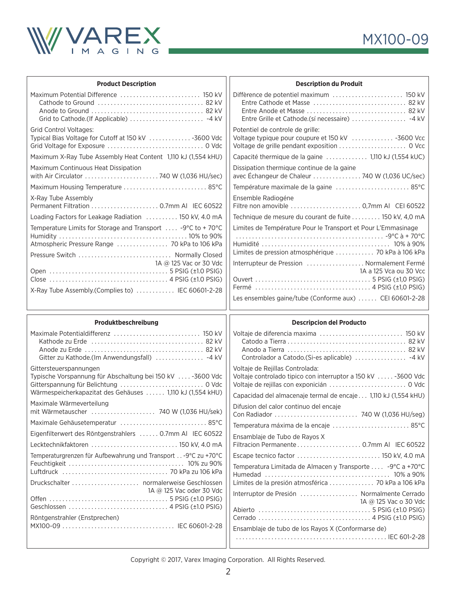

| <b>Product Description</b>                                                                                                                                                 | <b>Description du Produit</b>                                                                                                                                       |
|----------------------------------------------------------------------------------------------------------------------------------------------------------------------------|---------------------------------------------------------------------------------------------------------------------------------------------------------------------|
|                                                                                                                                                                            | Entre Grille et Cathode.(sí necessaire)  -4 kV                                                                                                                      |
| <b>Grid Control Voltages:</b><br>Typical Bias Voltage for Cutoff at 150 kV 3600 Vdc                                                                                        | Potentiel de controle de grille:<br>Voltage typique pour coupure et 150 kV  -3600 Vcc                                                                               |
| Maximum X-Ray Tube Assembly Heat Content 1,110 kJ (1,554 kHU)                                                                                                              | Capacité thermique de la gaine  1,110 kJ (1,554 kUC)                                                                                                                |
| Maximum Continuous Heat Dissipation                                                                                                                                        | Dissipation thermique continue de la gaine<br>avec Échangeur de Chaleur  740 W (1,036 UC/sec)                                                                       |
| Maximum Housing Temperature  85°C                                                                                                                                          | Température maximale de la gaine  85°C                                                                                                                              |
| X-Ray Tube Assembly                                                                                                                                                        | Ensemble Radiogéne<br>Filtre non amovible  0,7mm Al CEI 60522                                                                                                       |
| Loading Factors for Leakage Radiation  150 kV, 4.0 mA                                                                                                                      | Technique de mesure du courant de fuite 150 kV, 4,0 mA                                                                                                              |
| Temperature Limits for Storage and Transport  -9°C to +70°C<br>Atmospheric Pressure Range  70 kPa to 106 kPa<br>Pressure Switch  Normally Closed<br>1A @ 125 Vac or 30 Vdc | Limites de Température Pour le Transport et Pour L'Emmasinage<br>Limites de pression atmosphérique  70 kPa à 106 kPa<br>Interrupteur de Pression  Normalement Fermé |
| X-Ray Tube Assembly.(Complies to)  IEC 60601-2-28                                                                                                                          | 1A a 125 Vca ou 30 Vcc                                                                                                                                              |
|                                                                                                                                                                            |                                                                                                                                                                     |
|                                                                                                                                                                            | Les ensembles gaine/tube (Conforme aux)  CEI 60601-2-28                                                                                                             |
|                                                                                                                                                                            |                                                                                                                                                                     |
| Produktbeschreibung<br>Gitter zu Kathode.(Im Anwendungsfall)  -4 kV                                                                                                        | <b>Descripcion del Producto</b>                                                                                                                                     |
| Gittersteuerspannungen<br>Typische Vorspannung für Abschaltung bei 150 kV  -3600 Vdc<br>Wärmespeicherkapazitat des Gehäuses  1,110 kJ (1,554 kHU)                          | Voltaje de Rejillas Controlada:<br>Voltaje controlado tipico con interruptor a 150 kV  -3600 Vdc                                                                    |
| Maximale Wärmeverteilung<br>mit Wärmetauscher  740 W (1,036 HU/sek)                                                                                                        | Capacidad del almacenaje termal de encaje 1,110 kJ (1,554 kHU)<br>Difusion del calor continuo del encaje                                                            |
| Maximale Gehäusetemperatur  85°C                                                                                                                                           |                                                                                                                                                                     |
| Eigenfilterwert des Röntgenstrahlers  0.7mm Al IEC 60522                                                                                                                   | Temperatura máxima de la encaje  85°C<br>Ensamblaje de Tubo de Rayos X                                                                                              |
| Lecktechnikfaktoren  150 kV, 4.0 mA                                                                                                                                        |                                                                                                                                                                     |
| Temperaturgrenzen für Aufbewahrung und Transport - 9°C zu +70°C                                                                                                            | Escape tecnico factor  150 kV, 4.0 mA<br>Temperatura Limitada de Almacen y Transporte  -9°C a +70°C                                                                 |
| 1A @ 125 Vac oder 30 Vdc                                                                                                                                                   | Límites de la presión atmosférica  70 kPa a 106 kPa<br>Internationale Direction (Alexandre Couraghe Couraghe                                                        |

Copyright © 2017, Varex Imaging Corporation. All Rights Reserved.

Interruptor de Presión . . . . . . . . . . . . . . . . . . Normalmente Cerrado

Abierto . . . . . . . . . . . . . . . . . . . . . . . . . . . . . . . . . . . 5 PSIG (±1.0 PSIG) Cerrado . . . . . . . . . . . . . . . . . . . . . . . . . . . . . . . . . . . 4 PSIG (±1.0 PSIG)

. . . . . . . . . . . . . . . . . . . . . . . . . . . . . . . . . . . . . . . . . . . . . . . IEC 601-2-28

Ensamblaje de tubo de los Rayos X (Conformarse de)

1A @ 125 Vac o 30 Vdc

Off en . . . . . . . . . . . . . . . . . . . . . . . . . . . . . . . . . . . . . 5 PSIG (±1.0 PSIG) Geschlossen . . . . . . . . . . . . . . . . . . . . . . . . . . . . . . . 4 PSIG (±1.0 PSIG)

MX100-09 . . . . . . . . . . . . . . . . . . . . . . . . . . . . . . . . . . . IEC 60601-2-28

Röntgenstrahler (Enstprechen)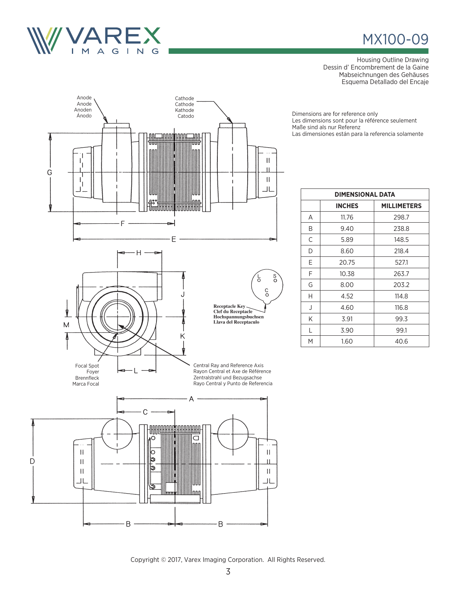

## MX100-09

Housing Outline Drawing Dessin d' Encombrement de la Gaine Mabseichnungen des Gehäuses Esquema Detallado del Encaje

Dimensions are for reference only Les dimensions sont pour la référence seulement Maße sind als nur Referenz Las dimensiones están para la referencia solamente

| <b>DIMENSIONAL DATA</b> |               |                    |  |  |
|-------------------------|---------------|--------------------|--|--|
|                         | <b>INCHES</b> | <b>MILLIMETERS</b> |  |  |
| A                       | 11.76         | 298.7              |  |  |
| B                       | 9.40          | 238.8              |  |  |
| C                       | 5.89          | 148.5              |  |  |
| D                       | 8.60          | 218.4              |  |  |
| Е                       | 20.75         | 527.1              |  |  |
| F                       | 10.38         | 263.7              |  |  |
| G                       | 8.00          | 203.2              |  |  |
| Н                       | 4.52          | 114.8              |  |  |
| J                       | 4.60          | 116.8              |  |  |
| Κ                       | 3.91          | 99.3               |  |  |
| L                       | 3.90          | 99.1               |  |  |
| М                       | 1.60          | 40.6               |  |  |



B.

В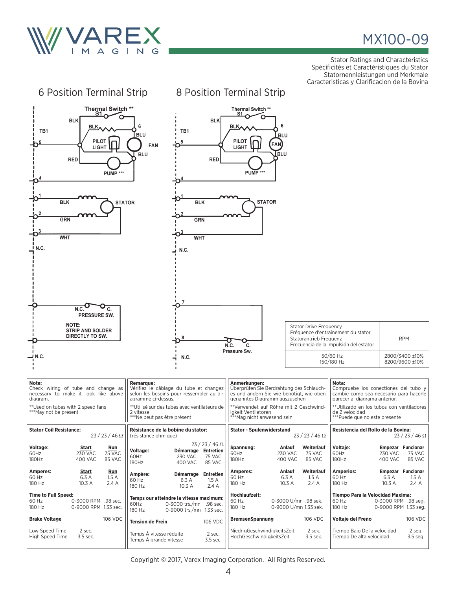

## MX100-09

Stator Ratings and Characteristics Spécificités et Caractéristiques du Stator Statornennleistungen und Merkmale Caracteristicas y Clarificacion de la Bovina

| 6 Position Terminal Strip                                                                                                                                      |                                                                                                                                                                                                                          | 8 Position Terminal Strip                                                                                                                                                                                                            |                                                                                                                                                                                                                          |  |  |
|----------------------------------------------------------------------------------------------------------------------------------------------------------------|--------------------------------------------------------------------------------------------------------------------------------------------------------------------------------------------------------------------------|--------------------------------------------------------------------------------------------------------------------------------------------------------------------------------------------------------------------------------------|--------------------------------------------------------------------------------------------------------------------------------------------------------------------------------------------------------------------------|--|--|
| Thermal Switch **<br>S1<br><b>BLK</b><br>BLK,<br>TB1<br><b>PILOT</b><br><b>LIGHT</b><br><b>RED</b><br>PUMP ***                                                 | <b>BLK</b><br>6<br>TB1<br><b>BLU</b><br>5<br>FAN<br><b>BLU</b><br><b>RED</b>                                                                                                                                             | Thermal Switch **<br>S1<br>6<br><b>BLK</b><br>BLU<br>PILOT<br>FAN)<br><b>LIGHT</b><br>lblu<br>PUMP <sup>***</sup>                                                                                                                    |                                                                                                                                                                                                                          |  |  |
| <b>STATOR</b><br><b>BLK</b><br><b>BLK</b><br><b>STATOR</b><br><b>GRN</b><br>GRN<br>O <sup>3</sup><br><b>WHT</b><br><b>WHT</b><br><u>I</u> N.C.<br>N.C.         |                                                                                                                                                                                                                          |                                                                                                                                                                                                                                      |                                                                                                                                                                                                                          |  |  |
| N.C.<br>C.<br>PRESSURE SW.<br>NOTE:<br><b>STRIP AND SOLDER</b><br>DIRECTLY TO SW.<br>.N.C —                                                                    | 7<br>8<br>N.C.                                                                                                                                                                                                           | <b>Stator Drive Frequency</b><br>Statorantrieb Frequenz<br>O<br>N.C.<br>c.<br>Pressure Sw.                                                                                                                                           | Fréquence d'entraînement du stator<br><b>RPM</b><br>Frecuencia de la impulsión del estator<br>50/60 Hz<br>2800/3400 ±10%<br>150/180 Hz<br>8200/9600 ±10%                                                                 |  |  |
| Note:<br>Check wiring of tube and change as<br>necessary to make it look like above<br>diagram.<br>** Used on tubes with 2 speed fans<br>***May not be present | <b>Remarque:</b><br>Vérifiez le câblage du tube et changez<br>selon les besoins pour ressembler au di-<br>agramme ci-dessus.<br>**Utilisé sur des tubes avec ventilateurs de<br>2 vitesse<br>***Ne peut pas être présent | Anmerkungen:<br>Überprüfen Sie Berdrahtung des Schlauch-<br>es und ändern Sie wie benötigt, wie oben<br>genanntes Diagramm auszusehen<br>**Verwendet auf Röhre mit 2 Geschwind-<br>igkeit Ventilatoren<br>***Mag nicht anwesend sein | Nota:<br>Compruebe los conectiones del tubo y<br>cambie como sea necesario para hacerle<br>parecer al diagrama anterior.<br>**Utilizado en los tubos con ventiladores<br>de 2 velocidad<br>***Puede que no este presente |  |  |
| <b>Stator Coil Resistance:</b><br>$23/23/46 \Omega$                                                                                                            | Résistance de la bobine du stator:<br>(résistance ohmique)                                                                                                                                                               | <b>Stator - Spulenwiderstand</b><br>$23/23/46 \Omega$                                                                                                                                                                                | Resistencia del Rollo de la Bovina:<br>$23/23/46 \Omega$                                                                                                                                                                 |  |  |
| Voltage:<br>Start<br>Run<br>60Hz<br><b>230 VAC</b><br>75 VAC<br>180Hz<br>400 VAC<br>85 VAC                                                                     | $23/23/46 \Omega$<br>Voltage:<br>Démarrage Entretien<br><b>230 VAC</b><br>60Hz<br>75 VAC<br>180Hz<br><b>400 VAC</b><br>85 VAC                                                                                            | Spannung:<br>Weiterlauf<br>Anlauf<br>60Hz<br><b>230 VAC</b><br>75 VAC<br>180Hz<br>400 VAC<br>85 VAC                                                                                                                                  | Voltaje:<br><b>Empezar Funcionar</b><br>60Hz<br><b>230 VAC</b><br>75 VAC<br>180Hz<br>400 VAC<br>85 VAC                                                                                                                   |  |  |
| Amperes:<br><u>Start</u><br><u>Run</u><br>6.3 A<br>60 Hz<br>1.5A<br>180 Hz<br>10.3 A<br>2.4A                                                                   | Démarrage Entretien<br>Ampère:<br>60 Hz<br>6.3 A<br>1.5A<br>180 Hz<br>10.3 A<br>2.4 A                                                                                                                                    | Amperes:<br>Anlauf<br>Weiterlauf<br>60 Hz<br>6.3 A<br>1.5A<br>180 Hz<br>10.3 A<br>2.4 A                                                                                                                                              | <b>Amperios:</b><br><b>Empezar Funcionar</b><br>60 Hz<br>6.3 A<br>1.5A<br>180 Hz<br>10.3 A<br>2.4 A                                                                                                                      |  |  |
| <b>Time to Full Speed:</b><br>60 Hz<br>0-3000 RPM .98 sec.<br>180 Hz<br>0-9000 RPM 1.33 sec.                                                                   | Temps our atteindre la vitesse maximum:<br>60Hz<br>0-3000 trs./mn .98 sec.<br>180 Hz<br>0-9000 trs./mn 1.33 sec.                                                                                                         | Hochlaufzeit:<br>60 Hz<br>0-3000 U/mn .98 sek.<br>180 Hz<br>0-9000 U/mn 1.33 sek.                                                                                                                                                    | Tiempo Para la Velocidad Maxima:<br>60 Hz<br>0-3000 RPM .98 seg.<br>180 Hz<br>0-9000 RPM 1.33 seg.                                                                                                                       |  |  |
| 106 VDC<br><b>Brake Voltage</b>                                                                                                                                | 106 VDC<br><b>Tension de Frein</b>                                                                                                                                                                                       | <b>BremsenSpannung</b><br>106 VDC                                                                                                                                                                                                    | 106 VDC<br>Voltaje del Freno                                                                                                                                                                                             |  |  |
| 2 sec.<br>Low Speed Time<br>High Speed Time<br>3.5 sec.                                                                                                        | Temps Á vitesse réduite<br>2 sec.<br>Temps Á grande vitesse<br>3.5 sec.                                                                                                                                                  | NiedrigGeschwindigkeitsZeit<br>2 sek.<br>HochGeschwindigkeitsZeit<br>3.5 sek.                                                                                                                                                        | Tiempo Bajo De la velocidad<br>2 seg.<br>Tiempo De alta velocidad<br>3.5 seg.                                                                                                                                            |  |  |

Copyright © 2017, Varex Imaging Corporation. All Rights Reserved.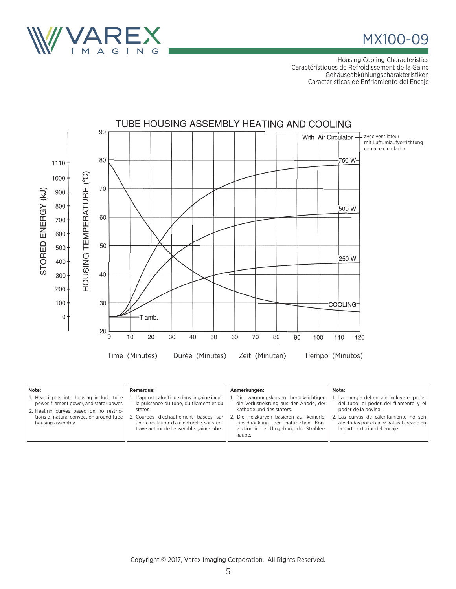

MX100-09

Housing Cooling Characteristics Caractéristiques de Refroidissement de la Gaine Gehäuseabkühlungscharakteristiken Caracteristicas de Enfriamiento del Encaje



| Note:                                                                                                                                               | <b>Remarque:</b>                                                                                                                                                                                                                                                               | Anmerkungen:                                                                                                                                                                                                                                                                           | Nota:                                                                                                                                                                               |
|-----------------------------------------------------------------------------------------------------------------------------------------------------|--------------------------------------------------------------------------------------------------------------------------------------------------------------------------------------------------------------------------------------------------------------------------------|----------------------------------------------------------------------------------------------------------------------------------------------------------------------------------------------------------------------------------------------------------------------------------------|-------------------------------------------------------------------------------------------------------------------------------------------------------------------------------------|
| 1. Heat inputs into housing include tube<br>power, filament power, and stator power.<br>2. Heating curves based on no restric-<br>housing assembly. | 1. L'apport calorifique dans la gaine incult<br>la puissance du tube, du filament et du<br>stator.<br>tions of natural convection around tube    2. Courbes d'échauffement basées sur   <br>une circulation d'air naturelle sans en-<br>trave autour de l'ensemble gaine-tube. | Die wärmungskurven berücksichtigen<br>die Verlustleistung aus der Anode, der<br>Kathode und des stators.<br>2. Die Heizkurven basieren auf keinerlei II 2. Las curvas de calentamiento no son<br>Einschränkung der natürlichen Kon-<br>vektion in der Umgebung der Strahler-<br>haube. | La energia del encaje incluye el poder<br>del tubo, el poder del filamento y el<br>poder de la bovina.<br>afectadas por el calor natural creado en<br>la parte exterior del encaje. |